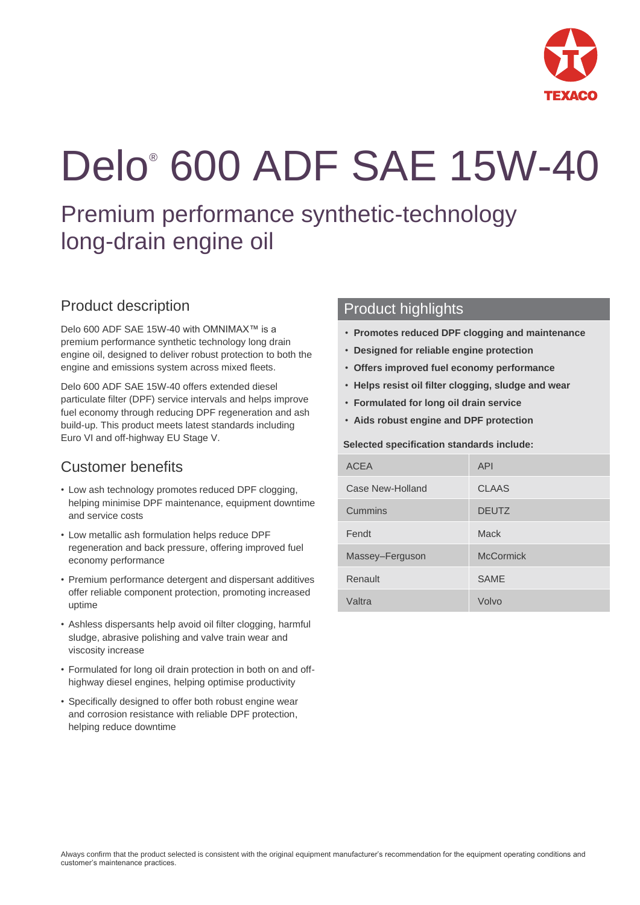

# Delo® 600 ADF SAE 15W-40

Premium performance synthetic-technology long-drain engine oil

# Product description

Delo 600 ADF SAE 15W-40 with OMNIMAX™ is a premium performance synthetic technology long drain engine oil, designed to deliver robust protection to both the engine and emissions system across mixed fleets.

Delo 600 ADF SAE 15W-40 offers extended diesel particulate filter (DPF) service intervals and helps improve fuel economy through reducing DPF regeneration and ash build-up. This product meets latest standards including Euro VI and off-highway EU Stage V.

# Customer benefits

- Low ash technology promotes reduced DPF clogging, helping minimise DPF maintenance, equipment downtime and service costs
- Low metallic ash formulation helps reduce DPF regeneration and back pressure, offering improved fuel economy performance
- Premium performance detergent and dispersant additives offer reliable component protection, promoting increased uptime
- Ashless dispersants help avoid oil filter clogging, harmful sludge, abrasive polishing and valve train wear and viscosity increase
- Formulated for long oil drain protection in both on and offhighway diesel engines, helping optimise productivity
- Specifically designed to offer both robust engine wear and corrosion resistance with reliable DPF protection, helping reduce downtime

## Product highlights

- **Promotes reduced DPF clogging and maintenance**
- **Designed for reliable engine protection**
- **Offers improved fuel economy performance**
- **Helps resist oil filter clogging, sludge and wear**
- **Formulated for long oil drain service**
- **Aids robust engine and DPF protection**

#### **Selected specification standards include:**

| <b>ACEA</b>      | <b>API</b>       |
|------------------|------------------|
| Case New-Holland | <b>CLAAS</b>     |
| Cummins          | <b>DEUTZ</b>     |
| Fendt            | Mack             |
| Massey-Ferguson  | <b>McCormick</b> |
| Renault          | <b>SAME</b>      |
| Valtra           | Volvo            |